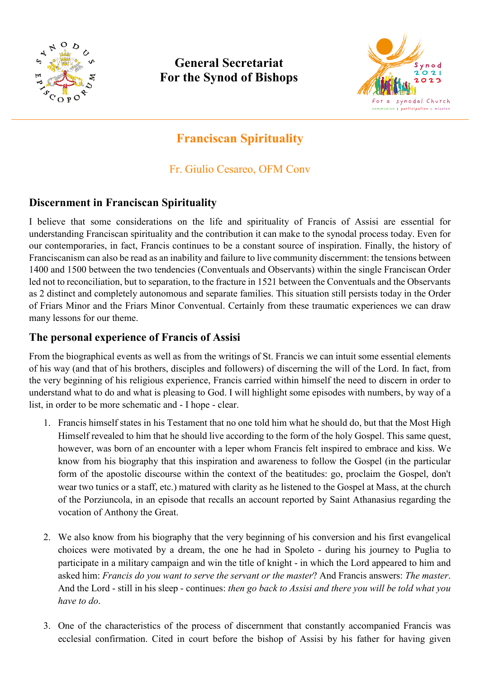

# **General Secretariat For the Synod of Bishops**



# **Franciscan Spirituality**

Fr. Giulio Cesareo, OFM Conv

## **Discernment in Franciscan Spirituality**

I believe that some considerations on the life and spirituality of Francis of Assisi are essential for understanding Franciscan spirituality and the contribution it can make to the synodal process today. Even for our contemporaries, in fact, Francis continues to be a constant source of inspiration. Finally, the history of Franciscanism can also be read as an inability and failure to live community discernment: the tensions between 1400 and 1500 between the two tendencies (Conventuals and Observants) within the single Franciscan Order led not to reconciliation, but to separation, to the fracture in 1521 between the Conventuals and the Observants as 2 distinct and completely autonomous and separate families. This situation still persists today in the Order of Friars Minor and the Friars Minor Conventual. Certainly from these traumatic experiences we can draw many lessons for our theme.

#### **The personal experience of Francis of Assisi**

From the biographical events as well as from the writings of St. Francis we can intuit some essential elements of his way (and that of his brothers, disciples and followers) of discerning the will of the Lord. In fact, from the very beginning of his religious experience, Francis carried within himself the need to discern in order to understand what to do and what is pleasing to God. I will highlight some episodes with numbers, by way of a list, in order to be more schematic and - I hope - clear.

- 1. Francis himself states in his Testament that no one told him what he should do, but that the Most High Himself revealed to him that he should live according to the form of the holy Gospel. This same quest, however, was born of an encounter with a leper whom Francis felt inspired to embrace and kiss. We know from his biography that this inspiration and awareness to follow the Gospel (in the particular form of the apostolic discourse within the context of the beatitudes: go, proclaim the Gospel, don't wear two tunics or a staff, etc.) matured with clarity as he listened to the Gospel at Mass, at the church of the Porziuncola, in an episode that recalls an account reported by Saint Athanasius regarding the vocation of Anthony the Great.
- 2. We also know from his biography that the very beginning of his conversion and his first evangelical choices were motivated by a dream, the one he had in Spoleto - during his journey to Puglia to participate in a military campaign and win the title of knight - in which the Lord appeared to him and asked him: *Francis do you want to serve the servant or the master*? And Francis answers: *The master*. And the Lord - still in his sleep - continues: *then go back to Assisi and there you will be told what you have to do*.
- 3. One of the characteristics of the process of discernment that constantly accompanied Francis was ecclesial confirmation. Cited in court before the bishop of Assisi by his father for having given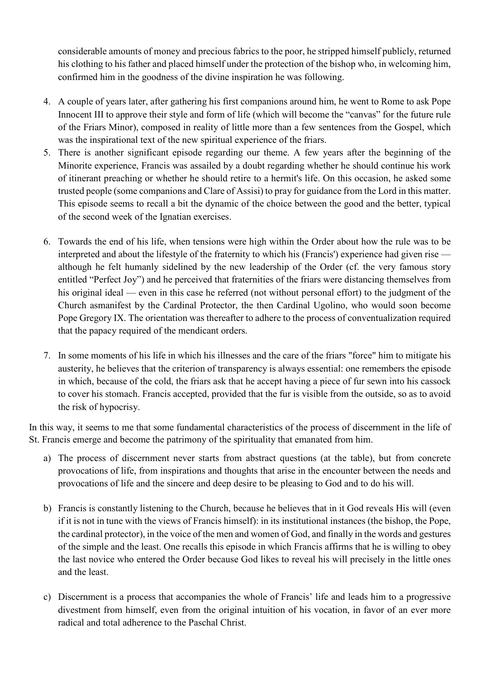considerable amounts of money and precious fabrics to the poor, he stripped himself publicly, returned his clothing to his father and placed himself under the protection of the bishop who, in welcoming him, confirmed him in the goodness of the divine inspiration he was following.

- 4. A couple of years later, after gathering his first companions around him, he went to Rome to ask Pope Innocent III to approve their style and form of life (which will become the "canvas" for the future rule of the Friars Minor), composed in reality of little more than a few sentences from the Gospel, which was the inspirational text of the new spiritual experience of the friars.
- 5. There is another significant episode regarding our theme. A few years after the beginning of the Minorite experience, Francis was assailed by a doubt regarding whether he should continue his work of itinerant preaching or whether he should retire to a hermit's life. On this occasion, he asked some trusted people (some companions and Clare of Assisi) to pray for guidance from the Lord in this matter. This episode seems to recall a bit the dynamic of the choice between the good and the better, typical of the second week of the Ignatian exercises.
- 6. Towards the end of his life, when tensions were high within the Order about how the rule was to be interpreted and about the lifestyle of the fraternity to which his (Francis') experience had given rise although he felt humanly sidelined by the new leadership of the Order (cf. the very famous story entitled "Perfect Joy") and he perceived that fraternities of the friars were distancing themselves from his original ideal — even in this case he referred (not without personal effort) to the judgment of the Church asmanifest by the Cardinal Protector, the then Cardinal Ugolino, who would soon become Pope Gregory IX. The orientation was thereafter to adhere to the process of conventualization required that the papacy required of the mendicant orders.
- 7. In some moments of his life in which his illnesses and the care of the friars "force" him to mitigate his austerity, he believes that the criterion of transparency is always essential: one remembers the episode in which, because of the cold, the friars ask that he accept having a piece of fur sewn into his cassock to cover his stomach. Francis accepted, provided that the fur is visible from the outside, so as to avoid the risk of hypocrisy.

In this way, it seems to me that some fundamental characteristics of the process of discernment in the life of St. Francis emerge and become the patrimony of the spirituality that emanated from him.

- a) The process of discernment never starts from abstract questions (at the table), but from concrete provocations of life, from inspirations and thoughts that arise in the encounter between the needs and provocations of life and the sincere and deep desire to be pleasing to God and to do his will.
- b) Francis is constantly listening to the Church, because he believes that in it God reveals His will (even if it is not in tune with the views of Francis himself): in its institutional instances (the bishop, the Pope, the cardinal protector), in the voice of the men and women of God, and finally in the words and gestures of the simple and the least. One recalls this episode in which Francis affirms that he is willing to obey the last novice who entered the Order because God likes to reveal his will precisely in the little ones and the least.
- c) Discernment is a process that accompanies the whole of Francis' life and leads him to a progressive divestment from himself, even from the original intuition of his vocation, in favor of an ever more radical and total adherence to the Paschal Christ.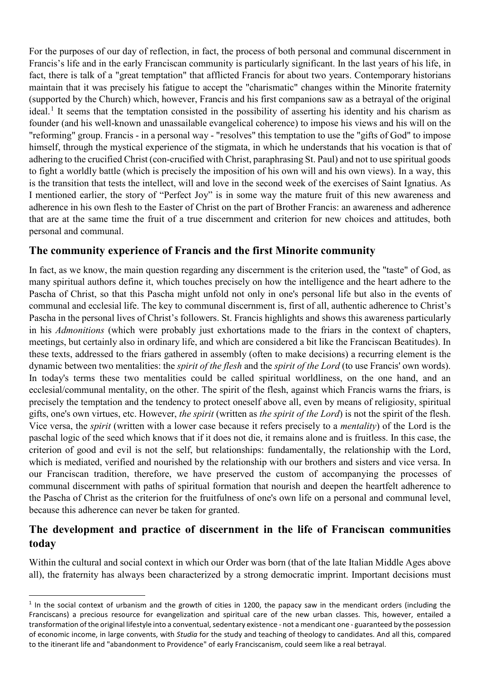For the purposes of our day of reflection, in fact, the process of both personal and communal discernment in Francis's life and in the early Franciscan community is particularly significant. In the last years of his life, in fact, there is talk of a "great temptation" that afflicted Francis for about two years. Contemporary historians maintain that it was precisely his fatigue to accept the "charismatic" changes within the Minorite fraternity (supported by the Church) which, however, Francis and his first companions saw as a betrayal of the original ideal.<sup>[1](#page-2-0)</sup> It seems that the temptation consisted in the possibility of asserting his identity and his charism as founder (and his well-known and unassailable evangelical coherence) to impose his views and his will on the "reforming" group. Francis - in a personal way - "resolves" this temptation to use the "gifts of God" to impose himself, through the mystical experience of the stigmata, in which he understands that his vocation is that of adhering to the crucified Christ (con-crucified with Christ, paraphrasing St. Paul) and not to use spiritual goods to fight a worldly battle (which is precisely the imposition of his own will and his own views). In a way, this is the transition that tests the intellect, will and love in the second week of the exercises of Saint Ignatius. As I mentioned earlier, the story of "Perfect Joy" is in some way the mature fruit of this new awareness and adherence in his own flesh to the Easter of Christ on the part of Brother Francis: an awareness and adherence that are at the same time the fruit of a true discernment and criterion for new choices and attitudes, both personal and communal.

### **The community experience of Francis and the first Minorite community**

In fact, as we know, the main question regarding any discernment is the criterion used, the "taste" of God, as many spiritual authors define it, which touches precisely on how the intelligence and the heart adhere to the Pascha of Christ, so that this Pascha might unfold not only in one's personal life but also in the events of communal and ecclesial life. The key to communal discernment is, first of all, authentic adherence to Christ's Pascha in the personal lives of Christ's followers. St. Francis highlights and shows this awareness particularly in his *Admonitions* (which were probably just exhortations made to the friars in the context of chapters, meetings, but certainly also in ordinary life, and which are considered a bit like the Franciscan Beatitudes). In these texts, addressed to the friars gathered in assembly (often to make decisions) a recurring element is the dynamic between two mentalities: the *spirit of the flesh* and the *spirit of the Lord* (to use Francis' own words). In today's terms these two mentalities could be called spiritual worldliness, on the one hand, and an ecclesial/communal mentality, on the other. The spirit of the flesh, against which Francis warns the friars, is precisely the temptation and the tendency to protect oneself above all, even by means of religiosity, spiritual gifts, one's own virtues, etc. However, *the spirit* (written as *the spirit of the Lord*) is not the spirit of the flesh. Vice versa, the *spirit* (written with a lower case because it refers precisely to a *mentality*) of the Lord is the paschal logic of the seed which knows that if it does not die, it remains alone and is fruitless. In this case, the criterion of good and evil is not the self, but relationships: fundamentally, the relationship with the Lord, which is mediated, verified and nourished by the relationship with our brothers and sisters and vice versa. In our Franciscan tradition, therefore, we have preserved the custom of accompanying the processes of communal discernment with paths of spiritual formation that nourish and deepen the heartfelt adherence to the Pascha of Christ as the criterion for the fruitfulness of one's own life on a personal and communal level, because this adherence can never be taken for granted.

### **The development and practice of discernment in the life of Franciscan communities today**

Within the cultural and social context in which our Order was born (that of the late Italian Middle Ages above all), the fraternity has always been characterized by a strong democratic imprint. Important decisions must

<span id="page-2-0"></span> $1$  In the social context of urbanism and the growth of cities in 1200, the papacy saw in the mendicant orders (including the Franciscans) a precious resource for evangelization and spiritual care of the new urban classes. This, however, entailed a transformation of the original lifestyle into a conventual, sedentary existence - not a mendicant one - guaranteed by the possession of economic income, in large convents, with *Studia* for the study and teaching of theology to candidates. And all this, compared to the itinerant life and "abandonment to Providence" of early Franciscanism, could seem like a real betrayal.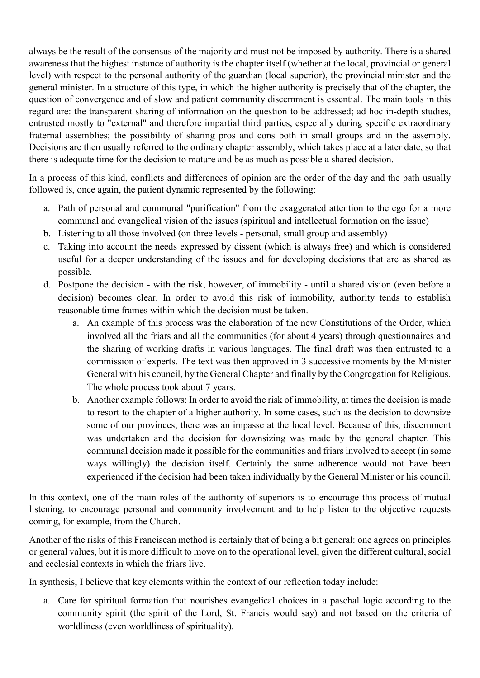always be the result of the consensus of the majority and must not be imposed by authority. There is a shared awareness that the highest instance of authority is the chapter itself (whether at the local, provincial or general level) with respect to the personal authority of the guardian (local superior), the provincial minister and the general minister. In a structure of this type, in which the higher authority is precisely that of the chapter, the question of convergence and of slow and patient community discernment is essential. The main tools in this regard are: the transparent sharing of information on the question to be addressed; ad hoc in-depth studies, entrusted mostly to "external" and therefore impartial third parties, especially during specific extraordinary fraternal assemblies; the possibility of sharing pros and cons both in small groups and in the assembly. Decisions are then usually referred to the ordinary chapter assembly, which takes place at a later date, so that there is adequate time for the decision to mature and be as much as possible a shared decision.

In a process of this kind, conflicts and differences of opinion are the order of the day and the path usually followed is, once again, the patient dynamic represented by the following:

- a. Path of personal and communal "purification" from the exaggerated attention to the ego for a more communal and evangelical vision of the issues (spiritual and intellectual formation on the issue)
- b. Listening to all those involved (on three levels personal, small group and assembly)
- c. Taking into account the needs expressed by dissent (which is always free) and which is considered useful for a deeper understanding of the issues and for developing decisions that are as shared as possible.
- d. Postpone the decision with the risk, however, of immobility until a shared vision (even before a decision) becomes clear. In order to avoid this risk of immobility, authority tends to establish reasonable time frames within which the decision must be taken.
	- a. An example of this process was the elaboration of the new Constitutions of the Order, which involved all the friars and all the communities (for about 4 years) through questionnaires and the sharing of working drafts in various languages. The final draft was then entrusted to a commission of experts. The text was then approved in 3 successive moments by the Minister General with his council, by the General Chapter and finally by the Congregation for Religious. The whole process took about 7 years.
	- b. Another example follows: In order to avoid the risk of immobility, at times the decision is made to resort to the chapter of a higher authority. In some cases, such as the decision to downsize some of our provinces, there was an impasse at the local level. Because of this, discernment was undertaken and the decision for downsizing was made by the general chapter. This communal decision made it possible for the communities and friars involved to accept (in some ways willingly) the decision itself. Certainly the same adherence would not have been experienced if the decision had been taken individually by the General Minister or his council.

In this context, one of the main roles of the authority of superiors is to encourage this process of mutual listening, to encourage personal and community involvement and to help listen to the objective requests coming, for example, from the Church.

Another of the risks of this Franciscan method is certainly that of being a bit general: one agrees on principles or general values, but it is more difficult to move on to the operational level, given the different cultural, social and ecclesial contexts in which the friars live.

In synthesis, I believe that key elements within the context of our reflection today include:

a. Care for spiritual formation that nourishes evangelical choices in a paschal logic according to the community spirit (the spirit of the Lord, St. Francis would say) and not based on the criteria of worldliness (even worldliness of spirituality).